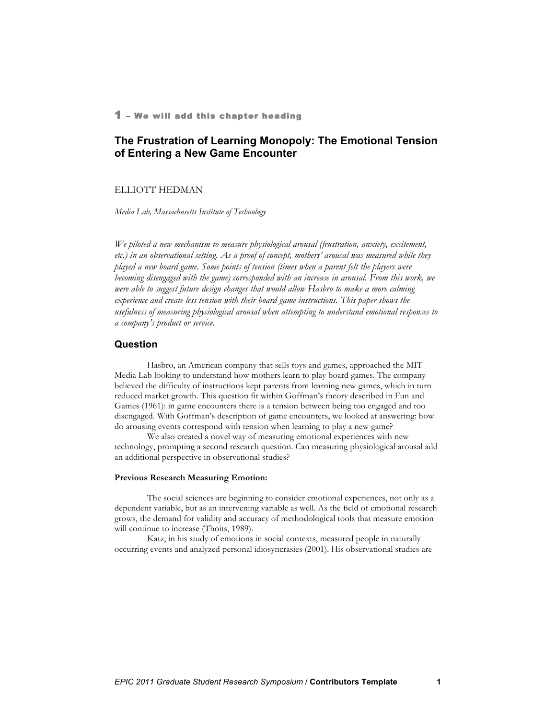## 1 – We will add this chapter heading

# **The Frustration of Learning Monopoly: The Emotional Tension of Entering a New Game Encounter**

## ELLIOTT HEDMAN

*Media Lab, Massachusetts Institute of Technology*

*We piloted a new mechanism to measure physiological arousal (frustration, anxiety, excitement, etc.) in an observational setting. As a proof of concept, mothers' arousal was measured while they played a new board game. Some points of tension (times when a parent felt the players were becoming disengaged with the game) corresponded with an increase in arousal. From this work, we were able to suggest future design changes that would allow Hasbro to make a more calming experience and create less tension with their board game instructions. This paper shows the usefulness of measuring physiological arousal when attempting to understand emotional responses to a company's product or service.*

## **Question**

Hasbro, an American company that sells toys and games, approached the MIT Media Lab looking to understand how mothers learn to play board games. The company believed the difficulty of instructions kept parents from learning new games, which in turn reduced market growth. This question fit within Goffman's theory described in Fun and Games (1961): in game encounters there is a tension between being too engaged and too disengaged. With Goffman's description of game encounters, we looked at answering: how do arousing events correspond with tension when learning to play a new game?

We also created a novel way of measuring emotional experiences with new technology, prompting a second research question. Can measuring physiological arousal add an additional perspective in observational studies?

## **Previous Research Measuring Emotion:**

The social sciences are beginning to consider emotional experiences, not only as a dependent variable, but as an intervening variable as well. As the field of emotional research grows, the demand for validity and accuracy of methodological tools that measure emotion will continue to increase (Thoits, 1989).

Katz, in his study of emotions in social contexts, measured people in naturally occurring events and analyzed personal idiosyncrasies (2001). His observational studies are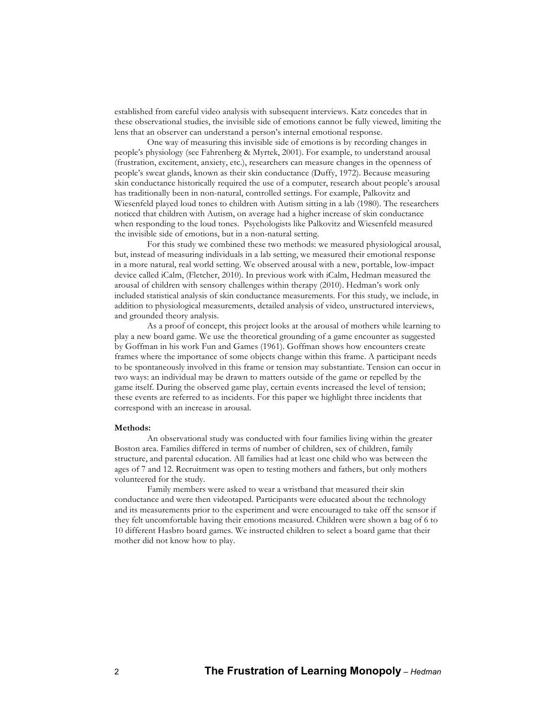established from careful video analysis with subsequent interviews. Katz concedes that in these observational studies, the invisible side of emotions cannot be fully viewed, limiting the lens that an observer can understand a person's internal emotional response.

One way of measuring this invisible side of emotions is by recording changes in people's physiology (see Fahrenberg & Myrtek, 2001). For example, to understand arousal (frustration, excitement, anxiety, etc.), researchers can measure changes in the openness of people's sweat glands, known as their skin conductance (Duffy, 1972). Because measuring skin conductance historically required the use of a computer, research about people's arousal has traditionally been in non-natural, controlled settings. For example, Palkovitz and Wiesenfeld played loud tones to children with Autism sitting in a lab (1980). The researchers noticed that children with Autism, on average had a higher increase of skin conductance when responding to the loud tones. Psychologists like Palkovitz and Wiesenfeld measured the invisible side of emotions, but in a non-natural setting.

For this study we combined these two methods: we measured physiological arousal, but, instead of measuring individuals in a lab setting, we measured their emotional response in a more natural, real world setting. We observed arousal with a new, portable, low-impact device called iCalm, (Fletcher, 2010). In previous work with iCalm, Hedman measured the arousal of children with sensory challenges within therapy (2010). Hedman's work only included statistical analysis of skin conductance measurements. For this study, we include, in addition to physiological measurements, detailed analysis of video, unstructured interviews, and grounded theory analysis.

As a proof of concept, this project looks at the arousal of mothers while learning to play a new board game. We use the theoretical grounding of a game encounter as suggested by Goffman in his work Fun and Games (1961). Goffman shows how encounters create frames where the importance of some objects change within this frame. A participant needs to be spontaneously involved in this frame or tension may substantiate. Tension can occur in two ways: an individual may be drawn to matters outside of the game or repelled by the game itself. During the observed game play, certain events increased the level of tension; these events are referred to as incidents. For this paper we highlight three incidents that correspond with an increase in arousal.

#### **Methods:**

An observational study was conducted with four families living within the greater Boston area. Families differed in terms of number of children, sex of children, family structure, and parental education. All families had at least one child who was between the ages of 7 and 12. Recruitment was open to testing mothers and fathers, but only mothers volunteered for the study.

Family members were asked to wear a wristband that measured their skin conductance and were then videotaped. Participants were educated about the technology and its measurements prior to the experiment and were encouraged to take off the sensor if they felt uncomfortable having their emotions measured. Children were shown a bag of 6 to 10 different Hasbro board games. We instructed children to select a board game that their mother did not know how to play.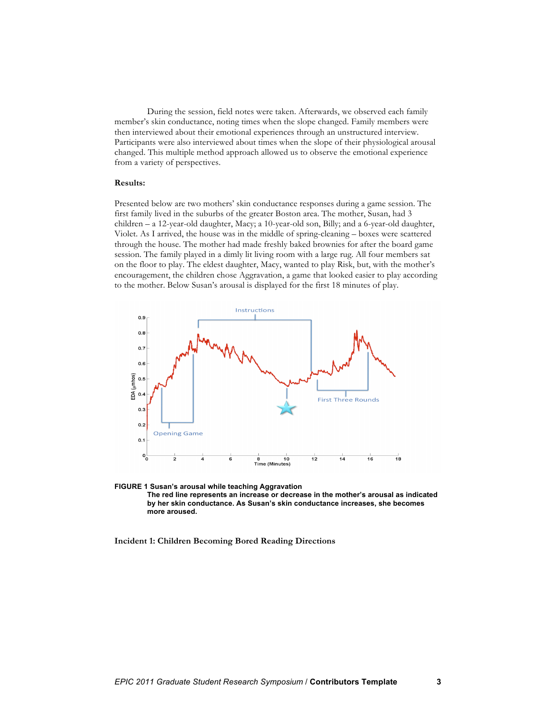During the session, field notes were taken. Afterwards, we observed each family member's skin conductance, noting times when the slope changed. Family members were then interviewed about their emotional experiences through an unstructured interview. Participants were also interviewed about times when the slope of their physiological arousal changed. This multiple method approach allowed us to observe the emotional experience from a variety of perspectives.

### **Results:**

Presented below are two mothers' skin conductance responses during a game session. The first family lived in the suburbs of the greater Boston area. The mother, Susan, had 3 children – a 12-year-old daughter, Macy; a 10-year-old son, Billy; and a 6-year-old daughter, Violet. As I arrived, the house was in the middle of spring-cleaning – boxes were scattered through the house. The mother had made freshly baked brownies for after the board game session. The family played in a dimly lit living room with a large rug. All four members sat on the floor to play. The eldest daughter, Macy, wanted to play Risk, but, with the mother's encouragement, the children chose Aggravation, a game that looked easier to play according to the mother. Below Susan's arousal is displayed for the first 18 minutes of play.





**Incident 1: Children Becoming Bored Reading Directions**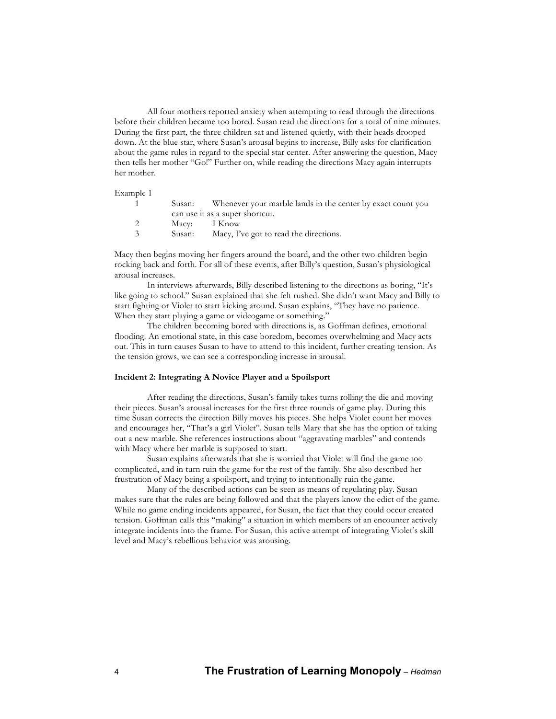All four mothers reported anxiety when attempting to read through the directions before their children became too bored. Susan read the directions for a total of nine minutes. During the first part, the three children sat and listened quietly, with their heads drooped down. At the blue star, where Susan's arousal begins to increase, Billy asks for clarification about the game rules in regard to the special star center. After answering the question, Macy then tells her mother "Go!" Further on, while reading the directions Macy again interrupts her mother.

Example 1

|    | Susan:                          | Whenever your marble lands in the center by exact count you |  |
|----|---------------------------------|-------------------------------------------------------------|--|
|    | can use it as a super shortcut. |                                                             |  |
| 2  | Macy: I Know                    |                                                             |  |
| -3 | Susan:                          | Macy, I've got to read the directions.                      |  |
|    |                                 |                                                             |  |

Macy then begins moving her fingers around the board, and the other two children begin rocking back and forth. For all of these events, after Billy's question, Susan's physiological arousal increases.

In interviews afterwards, Billy described listening to the directions as boring, "It's like going to school." Susan explained that she felt rushed. She didn't want Macy and Billy to start fighting or Violet to start kicking around. Susan explains, "They have no patience. When they start playing a game or videogame or something."

The children becoming bored with directions is, as Goffman defines, emotional flooding. An emotional state, in this case boredom, becomes overwhelming and Macy acts out. This in turn causes Susan to have to attend to this incident, further creating tension. As the tension grows, we can see a corresponding increase in arousal.

#### **Incident 2: Integrating A Novice Player and a Spoilsport**

After reading the directions, Susan's family takes turns rolling the die and moving their pieces. Susan's arousal increases for the first three rounds of game play. During this time Susan corrects the direction Billy moves his pieces. She helps Violet count her moves and encourages her, "That's a girl Violet". Susan tells Mary that she has the option of taking out a new marble. She references instructions about "aggravating marbles" and contends with Macy where her marble is supposed to start.

Susan explains afterwards that she is worried that Violet will find the game too complicated, and in turn ruin the game for the rest of the family. She also described her frustration of Macy being a spoilsport, and trying to intentionally ruin the game.

Many of the described actions can be seen as means of regulating play. Susan makes sure that the rules are being followed and that the players know the edict of the game. While no game ending incidents appeared, for Susan, the fact that they could occur created tension. Goffman calls this "making" a situation in which members of an encounter actively integrate incidents into the frame. For Susan, this active attempt of integrating Violet's skill level and Macy's rebellious behavior was arousing.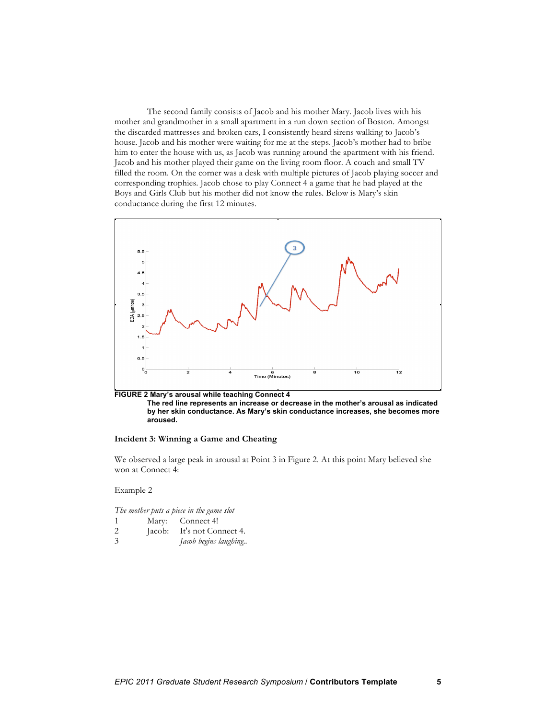The second family consists of Jacob and his mother Mary. Jacob lives with his mother and grandmother in a small apartment in a run down section of Boston. Amongst the discarded mattresses and broken cars, I consistently heard sirens walking to Jacob's house. Jacob and his mother were waiting for me at the steps. Jacob's mother had to bribe him to enter the house with us, as Jacob was running around the apartment with his friend. Jacob and his mother played their game on the living room floor. A couch and small TV filled the room. On the corner was a desk with multiple pictures of Jacob playing soccer and corresponding trophies. Jacob chose to play Connect 4 a game that he had played at the Boys and Girls Club but his mother did not know the rules. Below is Mary's skin conductance during the first 12 minutes.



**The red line represents an increase or decrease in the mother's arousal as indicated by her skin conductance. As Mary's skin conductance increases, she becomes more aroused.** 

## **Incident 3: Winning a Game and Cheating**

We observed a large peak in arousal at Point 3 in Figure 2. At this point Mary believed she won at Connect 4:

Example 2

*The mother puts a piece in the game slot*

| Mary: | Connect 4!                 |
|-------|----------------------------|
|       | Jacob: It's not Connect 4. |

3 *Jacob begins laughing..*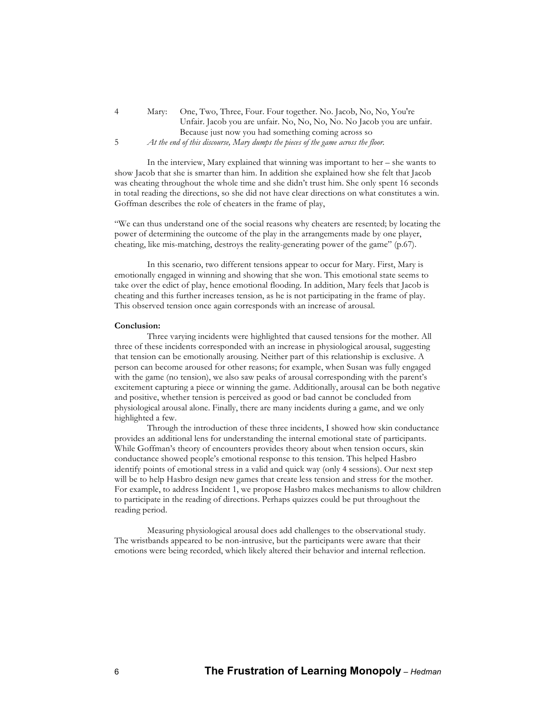4 Mary: One, Two, Three, Four. Four together. No. Jacob, No, No, You're Unfair. Jacob you are unfair. No, No, No, No. No Jacob you are unfair. Because just now you had something coming across so 5 *At the end of this discourse, Mary dumps the pieces of the game across the floor.*

In the interview, Mary explained that winning was important to her – she wants to show Jacob that she is smarter than him. In addition she explained how she felt that Jacob was cheating throughout the whole time and she didn't trust him. She only spent 16 seconds in total reading the directions, so she did not have clear directions on what constitutes a win. Goffman describes the role of cheaters in the frame of play,

"We can thus understand one of the social reasons why cheaters are resented; by locating the power of determining the outcome of the play in the arrangements made by one player, cheating, like mis-matching, destroys the reality-generating power of the game" (p.67).

In this scenario, two different tensions appear to occur for Mary. First, Mary is emotionally engaged in winning and showing that she won. This emotional state seems to take over the edict of play, hence emotional flooding. In addition, Mary feels that Jacob is cheating and this further increases tension, as he is not participating in the frame of play. This observed tension once again corresponds with an increase of arousal.

#### **Conclusion:**

Three varying incidents were highlighted that caused tensions for the mother. All three of these incidents corresponded with an increase in physiological arousal, suggesting that tension can be emotionally arousing. Neither part of this relationship is exclusive. A person can become aroused for other reasons; for example, when Susan was fully engaged with the game (no tension), we also saw peaks of arousal corresponding with the parent's excitement capturing a piece or winning the game. Additionally, arousal can be both negative and positive, whether tension is perceived as good or bad cannot be concluded from physiological arousal alone. Finally, there are many incidents during a game, and we only highlighted a few.

Through the introduction of these three incidents, I showed how skin conductance provides an additional lens for understanding the internal emotional state of participants. While Goffman's theory of encounters provides theory about when tension occurs, skin conductance showed people's emotional response to this tension. This helped Hasbro identify points of emotional stress in a valid and quick way (only 4 sessions). Our next step will be to help Hasbro design new games that create less tension and stress for the mother. For example, to address Incident 1, we propose Hasbro makes mechanisms to allow children to participate in the reading of directions. Perhaps quizzes could be put throughout the reading period.

Measuring physiological arousal does add challenges to the observational study. The wristbands appeared to be non-intrusive, but the participants were aware that their emotions were being recorded, which likely altered their behavior and internal reflection.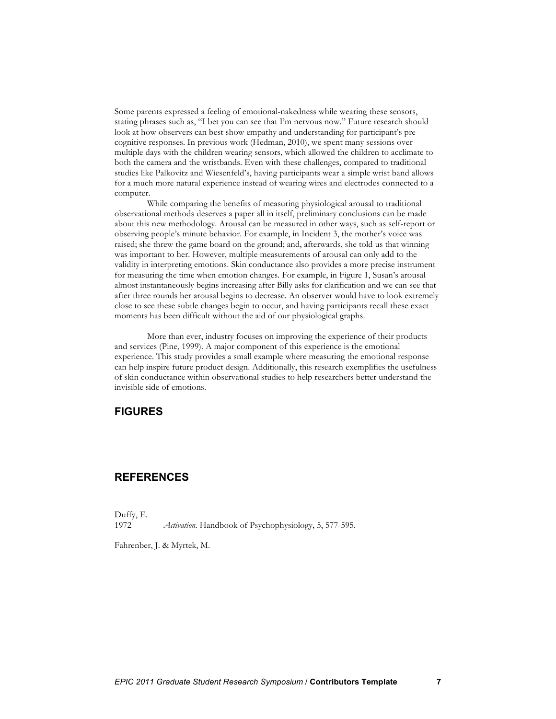Some parents expressed a feeling of emotional-nakedness while wearing these sensors, stating phrases such as, "I bet you can see that I'm nervous now." Future research should look at how observers can best show empathy and understanding for participant's precognitive responses. In previous work (Hedman, 2010), we spent many sessions over multiple days with the children wearing sensors, which allowed the children to acclimate to both the camera and the wristbands. Even with these challenges, compared to traditional studies like Palkovitz and Wiesenfeld's, having participants wear a simple wrist band allows for a much more natural experience instead of wearing wires and electrodes connected to a computer.

While comparing the benefits of measuring physiological arousal to traditional observational methods deserves a paper all in itself, preliminary conclusions can be made about this new methodology. Arousal can be measured in other ways, such as self-report or observing people's minute behavior. For example, in Incident 3, the mother's voice was raised; she threw the game board on the ground; and, afterwards, she told us that winning was important to her. However, multiple measurements of arousal can only add to the validity in interpreting emotions. Skin conductance also provides a more precise instrument for measuring the time when emotion changes. For example, in Figure 1, Susan's arousal almost instantaneously begins increasing after Billy asks for clarification and we can see that after three rounds her arousal begins to decrease. An observer would have to look extremely close to see these subtle changes begin to occur, and having participants recall these exact moments has been difficult without the aid of our physiological graphs.

More than ever, industry focuses on improving the experience of their products and services (Pine, 1999). A major component of this experience is the emotional experience. This study provides a small example where measuring the emotional response can help inspire future product design. Additionally, this research exemplifies the usefulness of skin conductance within observational studies to help researchers better understand the invisible side of emotions.

# **FIGURES**

# **REFERENCES**

Duffy, E.

1972 *Activation.* Handbook of Psychophysiology, 5, 577-595.

Fahrenber, J. & Myrtek, M.